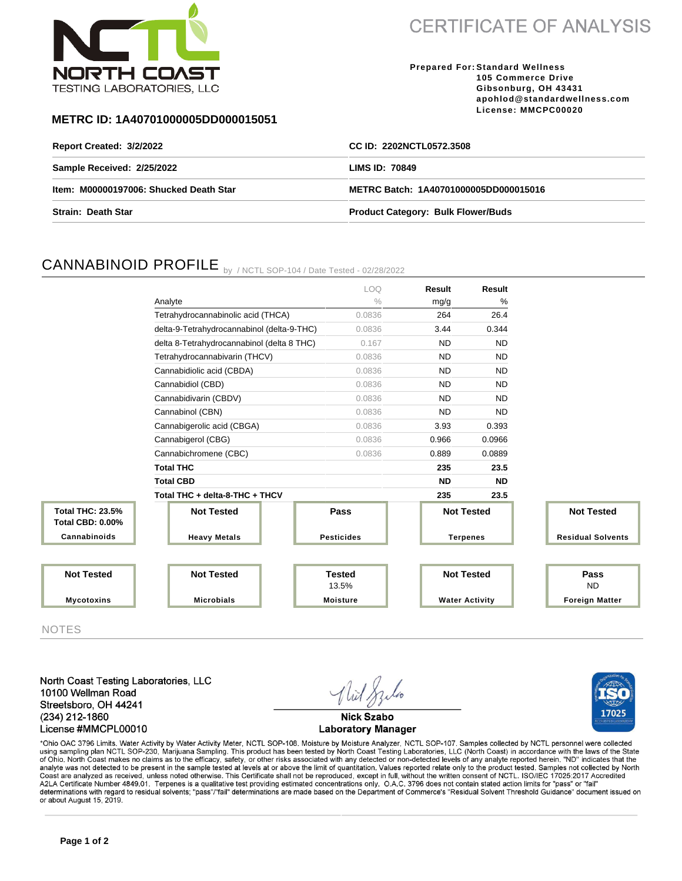

**CERTIFICATE OF ANALYSIS** 

**Prepared For: Standard Wellness 105 Commerce Drive Gibsonburg, OH 43431 apohlod@standardwellness.com License: MMCPC00020**

17025

## **METRC ID: 1A40701000005DD000015051**

| Report Created: 3/2/2022               | CC ID: 2202NCTL0572.3508                  |
|----------------------------------------|-------------------------------------------|
| Sample Received: 2/25/2022             | LIMS ID: 70849                            |
| Item: M00000197006: Shucked Death Star | METRC Batch: 1A40701000005DD000015016     |
| <b>Strain: Death Star</b>              | <b>Product Category: Bulk Flower/Buds</b> |

# CANNABINOID PROFILE by / NCTL SOP-104 / Date Tested - 02/28/2022

|                                                    |                                            | LOQ.              | Result            | Result                |                          |
|----------------------------------------------------|--------------------------------------------|-------------------|-------------------|-----------------------|--------------------------|
|                                                    | Analyte                                    | $\frac{0}{0}$     | mg/g              | %                     |                          |
|                                                    | Tetrahydrocannabinolic acid (THCA)         | 0.0836            | 264               | 26.4                  |                          |
|                                                    | delta-9-Tetrahydrocannabinol (delta-9-THC) | 0.0836            | 3.44              | 0.344                 |                          |
|                                                    | delta 8-Tetrahydrocannabinol (delta 8 THC) | 0.167             | <b>ND</b>         | <b>ND</b>             |                          |
|                                                    | Tetrahydrocannabivarin (THCV)              | 0.0836            | <b>ND</b>         | <b>ND</b>             |                          |
|                                                    | Cannabidiolic acid (CBDA)                  | 0.0836            | <b>ND</b>         | <b>ND</b>             |                          |
|                                                    | Cannabidiol (CBD)                          | 0.0836            | <b>ND</b>         | <b>ND</b>             |                          |
|                                                    | Cannabidivarin (CBDV)                      | 0.0836            | <b>ND</b>         | <b>ND</b>             |                          |
|                                                    | Cannabinol (CBN)                           | 0.0836            | <b>ND</b>         | <b>ND</b>             |                          |
|                                                    | Cannabigerolic acid (CBGA)                 | 0.0836            | 3.93              | 0.393                 |                          |
|                                                    | Cannabigerol (CBG)                         | 0.0836            | 0.966             | 0.0966                |                          |
|                                                    | Cannabichromene (CBC)                      | 0.0836            | 0.889             | 0.0889                |                          |
|                                                    | <b>Total THC</b>                           |                   | 235               | 23.5                  |                          |
|                                                    | <b>Total CBD</b>                           |                   | <b>ND</b>         | <b>ND</b>             |                          |
|                                                    | Total THC + delta-8-THC + THCV             |                   | 235               | 23.5                  |                          |
| <b>Total THC: 23.5%</b><br><b>Total CBD: 0.00%</b> | <b>Not Tested</b>                          | Pass              | <b>Not Tested</b> |                       | <b>Not Tested</b>        |
| Cannabinoids                                       | <b>Heavy Metals</b>                        | <b>Pesticides</b> | <b>Terpenes</b>   |                       | <b>Residual Solvents</b> |
|                                                    |                                            |                   |                   |                       |                          |
| <b>Not Tested</b>                                  | <b>Not Tested</b>                          | <b>Tested</b>     |                   | <b>Not Tested</b>     | Pass                     |
|                                                    |                                            | 13.5%             |                   |                       | <b>ND</b>                |
| <b>Mycotoxins</b>                                  | <b>Microbials</b>                          | <b>Moisture</b>   |                   | <b>Water Activity</b> | <b>Foreign Matter</b>    |

NOTES

North Coast Testing Laboratories, LLC 10100 Wellman Road Streetsboro, OH 44241 (234) 212-1860 License #MMCPL00010



\*Ohio OAC 3796 Limits. Water Activity by Water Activity Meter, NCTL SOP-108. Moisture by Moisture Analyzer, NCTL SOP-107. Samples collected by NCTL personnel were collected using sampling plan NCTL SOP-230, Marijuana Sampling. This product has been tested by North Coast Testing Laboratories, LLC (North Coast) in accordance with the laws of the State<br>of Ohio. North Coast makes no claims as to Coast are analyzed as received, unless noted otherwise. This Certificate shall not be reproduced, except in full, without the written consent of NCTL. ISO/IEC 17025:2017 Accredited<br>A2LA Certificate Number 4849.01. Terpenes determinations with regard to residual solvents; "pass"/"fail" determinations are made based on the Department of Commerce's "Residual Solvent Threshold Guidance" document issued on or about August 15, 2019.